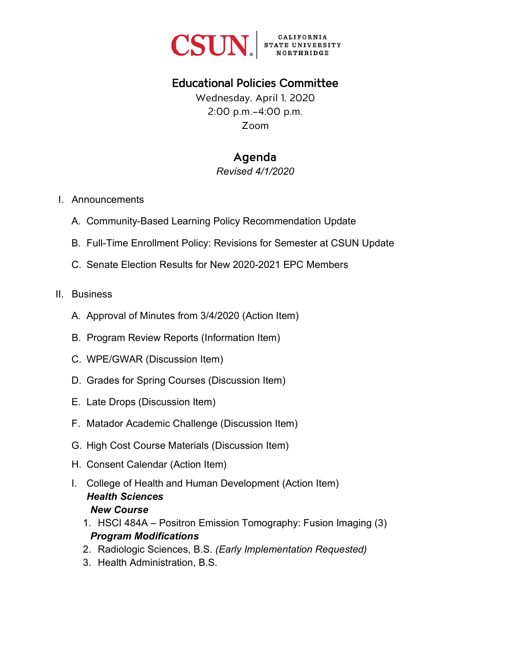

# Educational Policies Committee

Wednesday, April 1, 2020 2:00 p.m.–4:00 p.m. Zoom

# Agenda

*Revised 4/1/2020* 

- I. Announcements
	- A. Community-Based Learning Policy Recommendation Update
	- B. Full-Time Enrollment Policy: Revisions for Semester at CSUN Update
	- C. Senate Election Results for New 2020-2021 EPC Members

#### II. Business

- A. Approval of Minutes from 3/4/2020 (Action Item)
- B. Program Review Reports (Information Item)
- C. WPE/GWAR (Discussion Item)
- D. Grades for Spring Courses (Discussion Item)
- E. Late Drops (Discussion Item)
- F. Matador Academic Challenge (Discussion Item)
- G. High Cost Course Materials (Discussion Item)
- H. Consent Calendar (Action Item)
- I. College of Health and Human Development (Action Item) *Health Sciences New Course*
	- 1. HSCI 484A Positron Emission Tomography: Fusion Imaging (3) *Program Modifications*
	- 2. Radiologic Sciences, B.S. *(Early Implementation Requested)*
	- 3. Health Administration, B.S.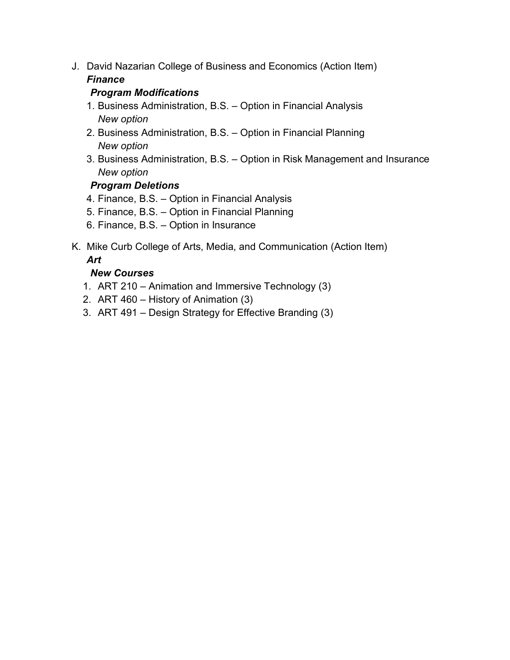J. David Nazarian College of Business and Economics (Action Item)

## *Finance*

### *Program Modifications*

- 1. Business Administration, B.S. Option in Financial Analysis *New option*
- 2. Business Administration, B.S. Option in Financial Planning *New option*
- 3. Business Administration, B.S. Option in Risk Management and Insurance *New option*

## *Program Deletions*

- 4. Finance, B.S. Option in Financial Analysis
- 5. Finance, B.S. Option in Financial Planning
- 6. Finance, B.S. Option in Insurance
- K. Mike Curb College of Arts, Media, and Communication (Action Item) *Art*

## *New Courses*

- 1. ART 210 Animation and Immersive Technology (3)
- 2. ART 460 History of Animation (3)
- 3. ART 491 Design Strategy for Effective Branding (3)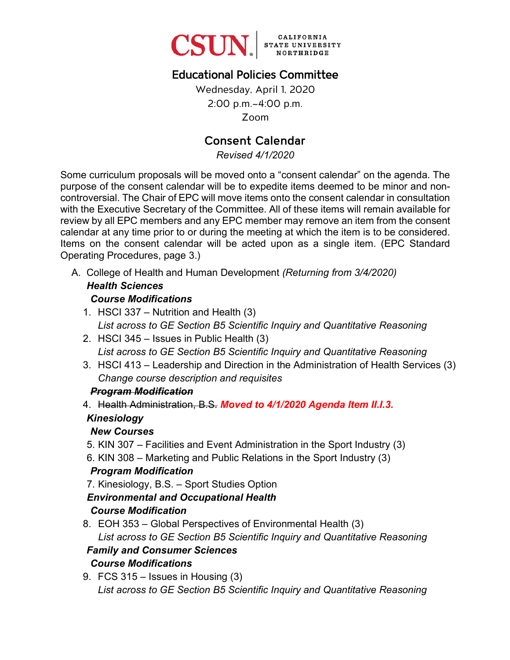

# Educational Policies Committee

Wednesday, April 1, 2020 2:00 p.m.–4:00 p.m. Zoom

# Consent Calendar

*Revised 4/1/2020* 

Some curriculum proposals will be moved onto a "consent calendar" on the agenda. The purpose of the consent calendar will be to expedite items deemed to be minor and noncontroversial. The Chair of EPC will move items onto the consent calendar in consultation with the Executive Secretary of the Committee. All of these items will remain available for review by all EPC members and any EPC member may remove an item from the consent calendar at any time prior to or during the meeting at which the item is to be considered. Items on the consent calendar will be acted upon as a single item. (EPC Standard Operating Procedures, page 3.)

A. College of Health and Human Development *(Returning from 3/4/2020)*

# *Health Sciences*

- *Course Modifications*
- 1. HSCI 337 Nutrition and Health (3) *List across to GE Section B5 Scientific Inquiry and Quantitative Reasoning*
- 2. HSCI 345 Issues in Public Health (3) *List across to GE Section B5 Scientific Inquiry and Quantitative Reasoning*
- 3. HSCI 413 Leadership and Direction in the Administration of Health Services (3) *Change course description and requisites*

#### *Program Modification*

4. Health Administration, B.S. *Moved to 4/1/2020 Agenda Item II.I.3.*

#### *Kinesiology*

#### *New Courses*

- 5. KIN 307 Facilities and Event Administration in the Sport Industry (3)
- 6. KIN 308 Marketing and Public Relations in the Sport Industry (3)

#### *Program Modification*

7. Kinesiology, B.S. – Sport Studies Option

#### *Environmental and Occupational Health*

#### *Course Modification*

8. EOH 353 – Global Perspectives of Environmental Health (3) *List across to GE Section B5 Scientific Inquiry and Quantitative Reasoning Family and Consumer Sciences*

# *Course Modifications*

9. FCS 315 – Issues in Housing (3) *List across to GE Section B5 Scientific Inquiry and Quantitative Reasoning*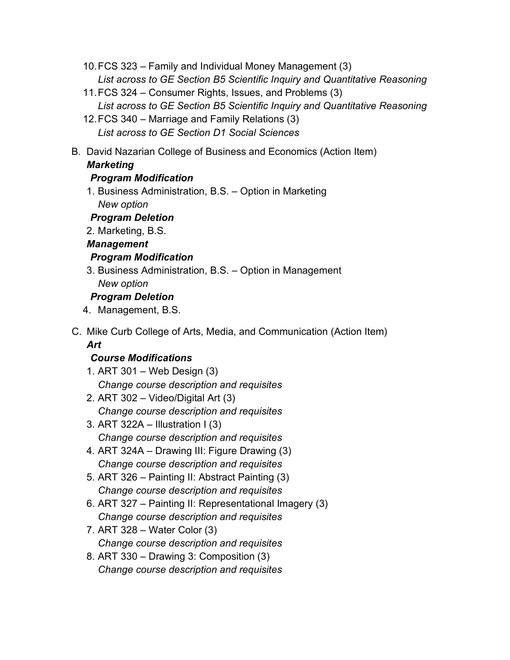- 10.FCS 323 Family and Individual Money Management (3) *List across to GE Section B5 Scientific Inquiry and Quantitative Reasoning*
- 11.FCS 324 Consumer Rights, Issues, and Problems (3) *List across to GE Section B5 Scientific Inquiry and Quantitative Reasoning*
- 12.FCS 340 Marriage and Family Relations (3) *List across to GE Section D1 Social Sciences*
- B. David Nazarian College of Business and Economics (Action Item)

# *Marketing*

# *Program Modification*

- 1. Business Administration, B.S. Option in Marketing *New option*
- *Program Deletion*
- 2. Marketing, B.S.

# *Management*

# *Program Modification*

3. Business Administration, B.S. – Option in Management *New option*

# *Program Deletion*

- 4. Management, B.S.
- C. Mike Curb College of Arts, Media, and Communication (Action Item) *Art*

## *Course Modifications*

- 1. ART 301 Web Design (3) *Change course description and requisites*
- 2. ART 302 Video/Digital Art (3) *Change course description and requisites*
- 3. ART  $322A$  Illustration I (3) *Change course description and requisites*
- 4. ART 324A Drawing III: Figure Drawing (3) *Change course description and requisites*
- 5. ART 326 Painting II: Abstract Painting (3) *Change course description and requisites*
- 6. ART 327 Painting II: Representational Imagery (3) *Change course description and requisites*
- 7. ART 328 Water Color (3) *Change course description and requisites*
- 8. ART 330 Drawing 3: Composition (3) *Change course description and requisites*